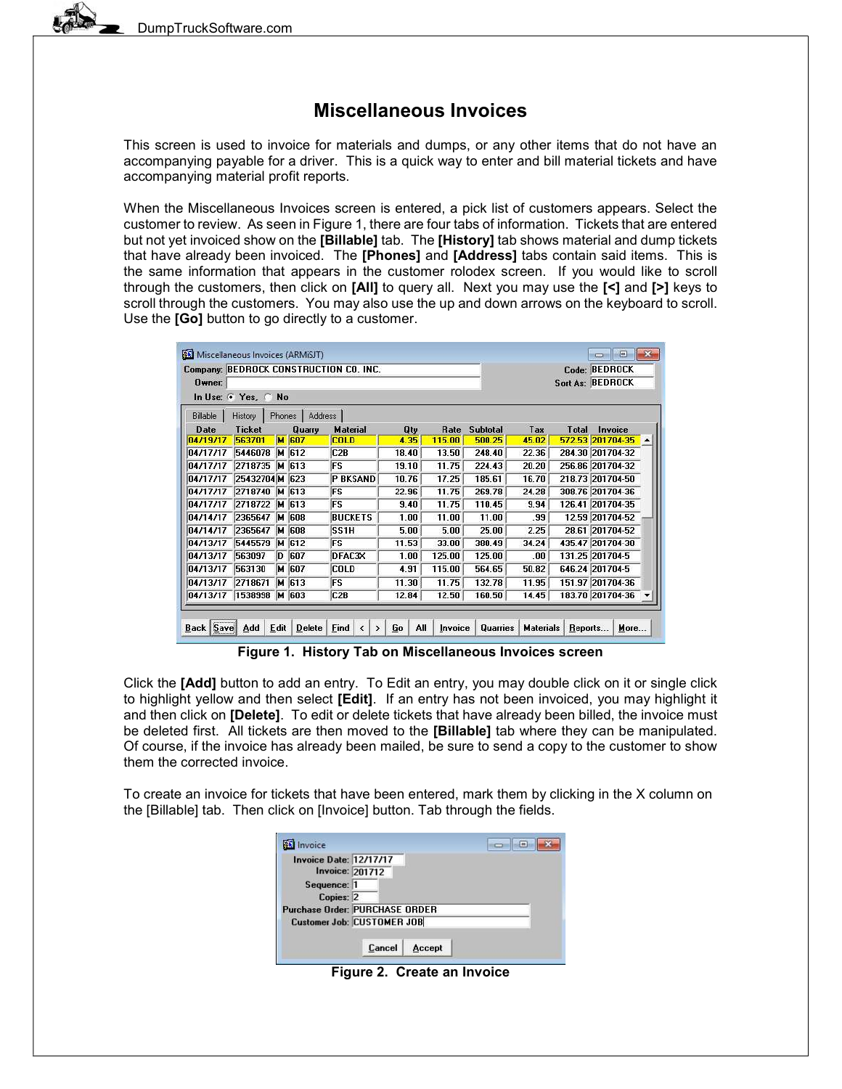# Miscellaneous Invoices

This screen is used to invoice for materials and dumps, or any other items that do not have an accompanying payable for a driver. This is a quick way to enter and bill material tickets and have accompanying material profit reports.

When the Miscellaneous Invoices screen is entered, a pick list of customers appears. Select the customer to review. As seen in Figure 1, there are four tabs of information. Tickets that are entered but not yet invoiced show on the **[Billable]** tab. The **[History]** tab shows material and dump tickets that have already been invoiced. The [Phones] and [Address] tabs contain said items. This is the same information that appears in the customer rolodex screen. If you would like to scroll through the customers, then click on [All] to query all. Next you may use the [<] and [>] keys to scroll through the customers. You may also use the up and down arrows on the keyboard to scroll. Use the **[Go]** button to go directly to a customer.

|                 |                      |        |              | Company: BEDROCK CONSTRUCTION CO. INC. |       |             |                 |       |                         | Code: BEDROCK   |                  |
|-----------------|----------------------|--------|--------------|----------------------------------------|-------|-------------|-----------------|-------|-------------------------|-----------------|------------------|
| $0$ wner:       |                      |        |              |                                        |       |             |                 |       | <b>Sort As: BEDROCK</b> |                 |                  |
|                 | In Use: 6 Yes, C No. |        |              |                                        |       |             |                 |       |                         |                 |                  |
| <b>Billable</b> | History              | Phones | Address      |                                        |       |             |                 |       |                         |                 |                  |
| Date            | <b>Ticket</b>        |        | Quarry       | <b>Material</b>                        | Qty   | <b>Rate</b> | <b>Subtotal</b> | Tax   | <b>Total</b>            | Invoice         |                  |
| 04/19/17        | 563701               |        | <b>M</b> 607 | <b>COLD</b>                            | 4.35  | 115.00      | 500.25          | 45.02 | 572.53 201704-35        |                 | $\blacktriangle$ |
| 04/17/17        | 5446078              |        | M 612        | C <sub>2</sub> B                       | 18.40 | 13.50       | 248.40          | 22.36 | 284.30 201704-32        |                 |                  |
| 04/17/17        | 2718735              | M      | 613          | FS                                     | 19.10 | 11.75       | 224.43          | 20.20 | 256.86 201704-32        |                 |                  |
| 04/17/17        | 25432704M 623        |        |              | <b>P BKSAND</b>                        | 10.76 | 17.25       | 185.61          | 16.70 | 218.73 201704-50        |                 |                  |
| 04/17/17        | 2718740              |        | M 613        | <b>FS</b>                              | 22.96 | 11.75       | 269.78          | 24.28 | 308.76 201704-36        |                 |                  |
| 04/17/17        | 2718722              | м      | 613          | <b>FS</b>                              | 9.40  | 11.75       | 110.45          | 9.94  | 126.41 201704-35        |                 |                  |
| 04/14/17        | 2365647              | м      | 608          | <b>BUCKETS</b>                         | 1.00  | 11.00       | 11.00           | .99   |                         | 12.59 201704-52 |                  |
| 04/14/17        | 2365647              | lм     | 608          | SS <sub>1</sub> H                      | 5.00  | 5.00        | 25.00           | 2.25  |                         | 28.61 201704-52 |                  |
| 04/13/17        | 5445579              |        | M 612        | FS                                     | 11.53 | 33.00       | 380.49          | 34.24 | 435.47 201704-30        |                 |                  |
| 04/13/17        | 563097               | D      | 607          | DFAC3X                                 | 1.00  | 125.00      | 125.00          | .00   | 131.25 201704-5         |                 |                  |
| 04/13/17        | 563130               |        | M 607        | COLD                                   | 4.91  | 115.00      | 564.65          | 50.82 | 646.24 201704-5         |                 |                  |
| 04/13/17        | 2718671              |        | M 613        | FS                                     | 11.30 | 11.75       | 132.78          | 11.95 | 151.97 201704-36        |                 |                  |
| 04/13/17        | 1538998              |        | M 603        | C2B                                    | 12.84 | 12.50       | 160.50          | 14.45 | 183.70 201704-36        |                 |                  |
|                 |                      |        |              |                                        |       |             |                 |       |                         |                 |                  |

Figure 1. History Tab on Miscellaneous Invoices screen

Click the [Add] button to add an entry. To Edit an entry, you may double click on it or single click to highlight yellow and then select [Edit]. If an entry has not been invoiced, you may highlight it and then click on [Delete]. To edit or delete tickets that have already been billed, the invoice must be deleted first. All tickets are then moved to the **[Billable]** tab where they can be manipulated. Of course, if the invoice has already been mailed, be sure to send a copy to the customer to show them the corrected invoice.

To create an invoice for tickets that have been entered, mark them by clicking in the X column on the [Billable] tab. Then click on [Invoice] button. Tab through the fields.

| nvoice                                                  |                                       | E |
|---------------------------------------------------------|---------------------------------------|---|
| <b>Invoice Date: 12/17/17</b><br><b>Invoice: 201712</b> |                                       |   |
| Sequence: 1<br>Copies: 2                                |                                       |   |
|                                                         | <b>Purchase Order: PURCHASE ORDER</b> |   |
|                                                         | <b>Customer Job: CUSTOMER JOB</b>     |   |
|                                                         | Cancel<br>Accept                      |   |

Figure 2. Create an Invoice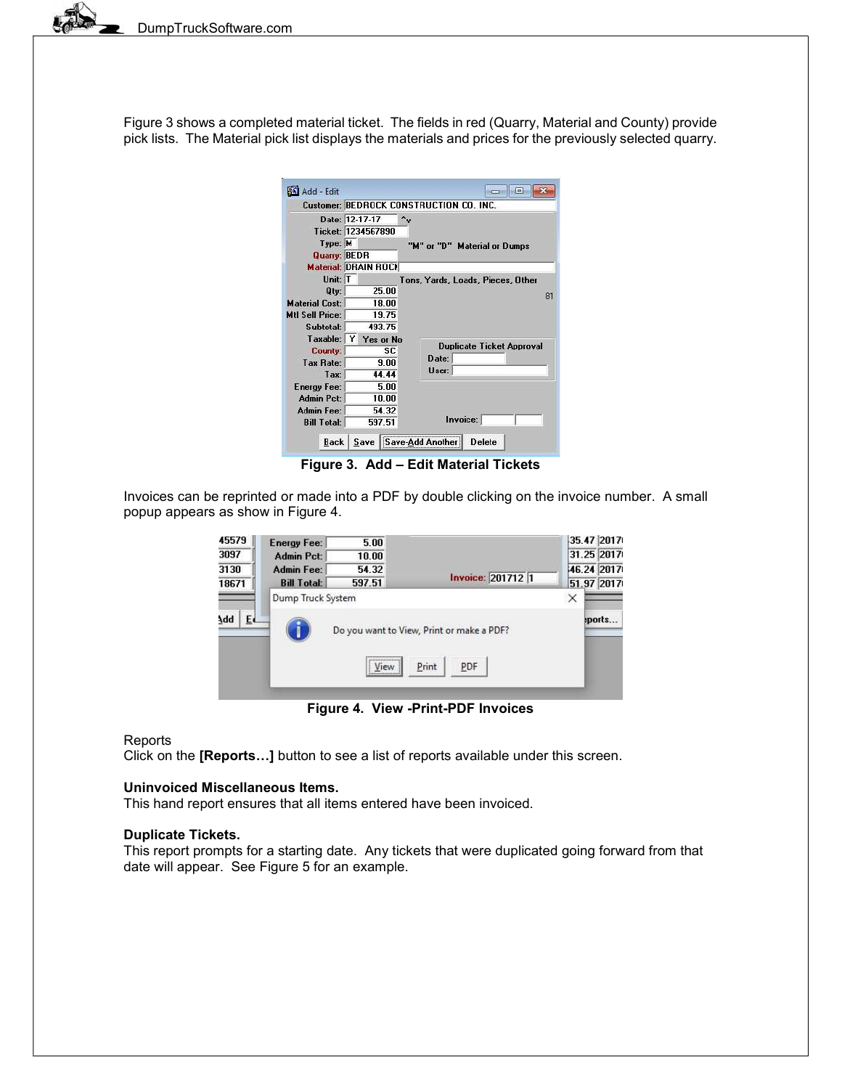Figure 3 shows a completed material ticket. The fields in red (Quarry, Material and County) provide pick lists. The Material pick list displays the materials and prices for the previously selected quarry.

| Add - Edit                  |                                      |           | $\blacksquare$                          |  |  |  |  |  |
|-----------------------------|--------------------------------------|-----------|-----------------------------------------|--|--|--|--|--|
|                             |                                      |           | Customer: BEDROCK CONSTRUCTION CO. INC. |  |  |  |  |  |
|                             | Date: 12-17-17<br>Ticket: 1234567890 |           |                                         |  |  |  |  |  |
| Type: M<br>Quarry: BEDR     |                                      |           | "M" or "D" Material or Dumps            |  |  |  |  |  |
| <b>Material: DRAIN ROCH</b> |                                      |           |                                         |  |  |  |  |  |
| Unit: T<br>Qty:             |                                      | 25 DO     | Tons, Yards, Loads, Pieces, Other       |  |  |  |  |  |
| <b>Material Cost:</b>       |                                      | 18.00     | 81                                      |  |  |  |  |  |
| <b>Mtl Sell Price:</b>      |                                      | 19.75     |                                         |  |  |  |  |  |
| Subtotal:                   |                                      | 493.75    |                                         |  |  |  |  |  |
| Taxable:                    | Y                                    | Yes or No | <b>Duplicate Ticket Approval</b>        |  |  |  |  |  |
| County:                     |                                      | SC.       |                                         |  |  |  |  |  |
| <b>Tax Rate:</b>            |                                      | 9.00      | Date:                                   |  |  |  |  |  |
| Tax <sup>-</sup>            | 44.44                                |           | User:                                   |  |  |  |  |  |
| <b>Energy Fee:</b>          |                                      | 5.00      |                                         |  |  |  |  |  |
| <b>Admin Pct:</b>           |                                      | 10.00     |                                         |  |  |  |  |  |
| Admin Fee:                  |                                      | 54.32     |                                         |  |  |  |  |  |
| <b>Bill Total:</b>          |                                      | 597.51    | Invoice:                                |  |  |  |  |  |
| <b>Back</b>                 | Save                                 |           | <b>Delete</b>                           |  |  |  |  |  |

Figure 3. Add – Edit Material Tickets

Invoices can be reprinted or made into a PDF by double clicking on the invoice number. A small popup appears as show in Figure 4.

| 45579     | Energy Fee:        | 5.00         |                                                           | 35.47 2017 |
|-----------|--------------------|--------------|-----------------------------------------------------------|------------|
| 3097      | <b>Admin Pct:</b>  | 10.00        |                                                           | 31.25 2017 |
| 3130      | Admin Fee:         | 54.32        |                                                           | 46.24 2017 |
| 18671     | <b>Bill Total:</b> | 597.51       | <b>Invoice: 2017121</b>                                   | 51.97 2017 |
| Add<br>E٠ | Dump Truck System  | <br>View<br> | Do you want to View, Print or make a PDF?<br>Print<br>PDF | ×<br>ports |

Figure 4. View -Print-PDF Invoices

### **Reports**

Click on the [Reports…] button to see a list of reports available under this screen.

#### Uninvoiced Miscellaneous Items.

This hand report ensures that all items entered have been invoiced.

#### Duplicate Tickets.

This report prompts for a starting date. Any tickets that were duplicated going forward from that date will appear. See Figure 5 for an example.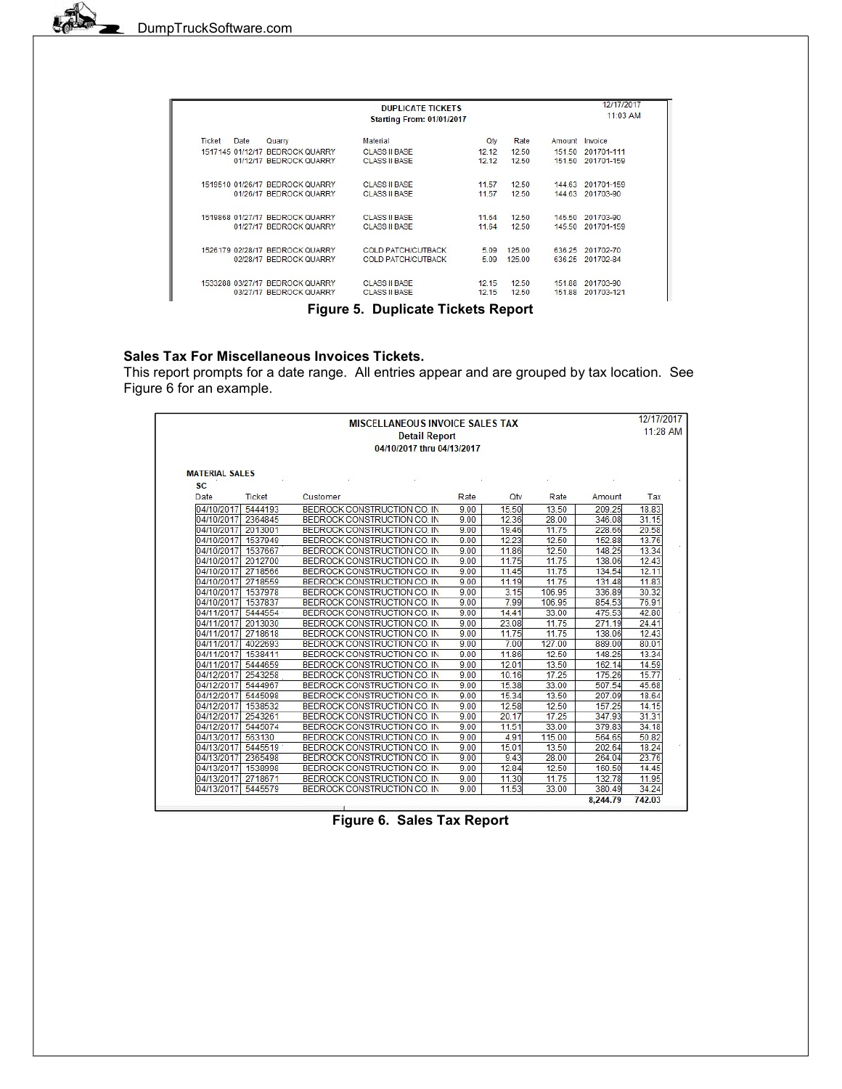|        |      |                                 | <b>DUPLICATE TICKETS</b><br><b>Starting From: 01/01/2017</b> |       |        |        | 12/17/2017<br>11:03 AM |
|--------|------|---------------------------------|--------------------------------------------------------------|-------|--------|--------|------------------------|
| Ticket | Date | Quarry                          | Material                                                     | Qtv   | Rate   | Amount | Invoice                |
|        |      | 1517145 01/12/17 BEDROCK OUARRY | <b>CLASS II BASE</b>                                         | 12.12 | 12.50  | 151.50 | 201701-111             |
|        |      | 01/12/17 BEDROCK QUARRY         | <b>CLASS II BASE</b>                                         | 12.12 | 12.50  | 151.50 | 201701-159             |
|        |      | 1519510 01/26/17 BEDROCK OUARRY | CLASS II BASE                                                | 11.57 | 12.50  | 144.63 | 201701-159             |
|        |      | 01/26/17 BEDROCK QUARRY         | <b>CLASS II BASE</b>                                         | 11.57 | 12.50  | 144.63 | 201703-90              |
|        |      | 1519868 01/27/17 BEDROCK QUARRY | <b>CLASS II BASE</b>                                         | 11.64 | 12.50  | 145.50 | 201703-90              |
|        |      | 01/27/17 BEDROCK QUARRY         | <b>CLASS II BASE</b>                                         | 11.64 | 12.50  | 145.50 | 201701-159             |
|        |      | 1526179 02/28/17 BEDROCK QUARRY | <b>COLD PATCH/CUTBACK</b>                                    | 5.09  | 125.00 | 636.25 | 201702-70              |
|        |      | 02/28/17 BEDROCK QUARRY         | <b>COLD PATCH/CUTBACK</b>                                    | 5.09  | 125.00 | 636.25 | 201702-84              |
|        |      | 1533288 03/27/17 BEDROCK QUARRY | CLASS ILBASE                                                 | 12.15 | 12.50  | 15188  | 201703-90              |
|        |      | 03/27/17 BEDROCK QUARRY         | <b>CLASS II BASE</b>                                         | 12.15 | 12.50  | 151.88 | 201703-121             |

Figure 5. Duplicate Tickets Report

# Sales Tax For Miscellaneous Invoices Tickets.

This report prompts for a date range. All entries appear and are grouped by tax location. See Figure 6 for an example.

| <b>MISCELLANEOUS INVOICE SALES TAX</b><br><b>Detail Report</b><br>04/10/2017 thru 04/13/2017 |               |                             |      |       |        |          |        |
|----------------------------------------------------------------------------------------------|---------------|-----------------------------|------|-------|--------|----------|--------|
| <b>MATERIAL SALES</b><br><b>SC</b>                                                           |               |                             |      |       |        |          |        |
| Date                                                                                         | <b>Ticket</b> | Customer                    | Rate | Qtv   | Rate   | Amount   | Tax    |
| 04/10/2017                                                                                   | 5444193       | BEDROCK CONSTRUCTION CO. IN | 9.00 | 15.50 | 13.50  | 209.25   | 18.83  |
| 04/10/2017 2364845                                                                           |               | BEDROCK CONSTRUCTION CO. IN | 9.00 | 12.36 | 28.00  | 346.08   | 31.15  |
| 04/10/2017 2013001                                                                           |               | BEDROCK CONSTRUCTION CO. IN | 9.00 | 19.46 | 11.75  | 228.66   | 20.58  |
| 04/10/2017                                                                                   | 1537949       | BEDROCK CONSTRUCTION CO. IN | 9.00 | 12.23 | 12.50  | 152.88   | 13.76  |
| 04/10/2017                                                                                   | 1537667       | BEDROCK CONSTRUCTION CO. IN | 9.00 | 11.86 | 12.50  | 148.25   | 13.34  |
| 04/10/2017                                                                                   | 2012700       | BEDROCK CONSTRUCTION CO. IN | 9.00 | 11.75 | 11.75  | 138.06   | 12.43  |
| 04/10/2017                                                                                   | 2718566       | BEDROCK CONSTRUCTION CO. IN | 9.00 | 11.45 | 11.75  | 134.54   | 12.11  |
| 04/10/2017                                                                                   | 2718559       | BEDROCK CONSTRUCTION CO. IN | 9.00 | 11.19 | 11.75  | 131.48   | 11.83  |
| 04/10/2017                                                                                   | 1537978       | BEDROCK CONSTRUCTION CO. IN | 9.00 | 3.15  | 106.95 | 336.89   | 30.32  |
| 04/10/2017                                                                                   | 1537837       | BEDROCK CONSTRUCTION CO. IN | 9.00 | 7.99  | 106.95 | 854.53   | 76.91  |
| 04/11/2017                                                                                   | 5444554       | BEDROCK CONSTRUCTION CO. IN | 9.00 | 14.41 | 33.00  | 475.53   | 42.80  |
| 04/11/2017                                                                                   | 2013030       | BEDROCK CONSTRUCTION CO. IN | 9.00 | 23.08 | 11.75  | 271.19   | 24.41  |
| 04/11/2017                                                                                   | 2718618       | BEDROCK CONSTRUCTION CO. IN | 9.00 | 11.75 | 11.75  | 138.06   | 12.43  |
| 04/11/2017                                                                                   | 4022693       | BEDROCK CONSTRUCTION CO. IN | 9.00 | 7.00  | 127.00 | 889.00   | 80.01  |
| 04/11/2017                                                                                   | 1538411       | BEDROCK CONSTRUCTION CO. IN | 9.00 | 11.86 | 12.50  | 148.25   | 13.34  |
| 04/11/2017                                                                                   | 5444659       | BEDROCK CONSTRUCTION CO. IN | 9.00 | 12.01 | 13.50  | 162.14   | 14.59  |
| 04/12/2017                                                                                   | 2543258       | BEDROCK CONSTRUCTION CO. IN | 9.00 | 10.16 | 17.25  | 175.26   | 15.77  |
| 04/12/2017                                                                                   | 5444967       | BEDROCK CONSTRUCTION CO. IN | 9.00 | 15.38 | 33.00  | 507.54   | 45.68  |
| 04/12/2017                                                                                   | 5445098       | BEDROCK CONSTRUCTION CO. IN | 9.00 | 15.34 | 13.50  | 207.09   | 18.64  |
| 04/12/2017                                                                                   | 1538532       | BEDROCK CONSTRUCTION CO. IN | 9.00 | 12.58 | 12.50  | 157.25   | 14.15  |
| 04/12/2017                                                                                   | 2543261       | BEDROCK CONSTRUCTION CO. IN | 9.00 | 20.17 | 17.25  | 347.93   | 31.31  |
| 04/12/2017                                                                                   | 5445074       | BEDROCK CONSTRUCTION CO. IN | 9.00 | 11.51 | 33.00  | 379.83   | 34.18  |
| 04/13/2017                                                                                   | 563130        | BEDROCK CONSTRUCTION CO. IN | 9.00 | 4.91  | 115.00 | 564.65   | 50.82  |
| 04/13/2017                                                                                   | 5445519       | BEDROCK CONSTRUCTION CO. IN | 9.00 | 15.01 | 13.50  | 202.64   | 18.24  |
| 04/13/2017                                                                                   | 2365498       | BEDROCK CONSTRUCTION CO. IN | 9.00 | 9.43  | 28.00  | 264.04   | 23.76  |
| 04/13/2017                                                                                   | 1538998       | BEDROCK CONSTRUCTION CO. IN | 9.00 | 12.84 | 12.50  | 160.50   | 14.45  |
| 04/13/2017 2718671                                                                           |               | BEDROCK CONSTRUCTION CO. IN | 9.00 | 11.30 | 11.75  | 132.78   | 11.95  |
| 04/13/2017                                                                                   | 5445579       | BEDROCK CONSTRUCTION CO. IN | 9.00 | 11.53 | 33.00  | 380.49   | 34.24  |
|                                                                                              |               |                             |      |       |        | 8.244.79 | 742.03 |

Figure 6. Sales Tax Report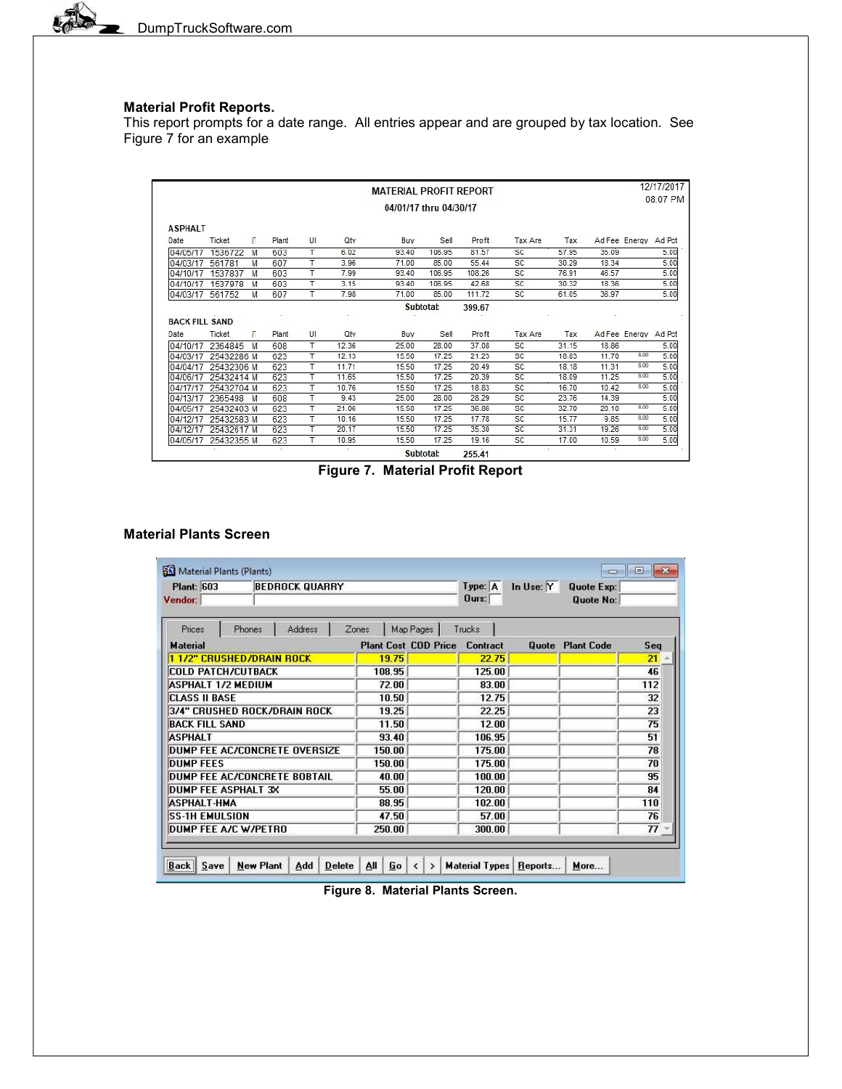L

## Material Profit Reports.

This report prompts for a date range. All entries appear and are grouped by tax location. See Figure 7 for an example

|                       |            |   |        |    |        | <b>MATERIAL PROFIT REPORT</b> |           |        |           |       |       |                      | 12/17/2017 |
|-----------------------|------------|---|--------|----|--------|-------------------------------|-----------|--------|-----------|-------|-------|----------------------|------------|
|                       |            |   |        |    |        | 04/01/17 thru 04/30/17        |           |        |           |       |       |                      | 08:07 PM   |
| <b>ASPHALT</b>        |            |   |        |    |        |                               |           |        |           |       |       |                      |            |
| Date                  | Ticket     | п | Plant  | U  | Qtv    | Buy                           | Sell      | Profit | Tax Are   | Tax   |       | Ad Fee Energy Ad Pct |            |
| 04/05/17              | 1536722    | M | 603    | т  | 6.02   | 93.40                         | 106.95    | 81.57  | SC        | 57.95 | 35.09 |                      | 5.00       |
| 04/03/17              | 561781     | M | 607    | т  | 3.96   | 71.00                         | 85.00     | 55.44  | SC        | 30.29 | 18.34 |                      | 5.00       |
| 04/10/17              | 1537837    | M | 603    | т  | 7.99   | 93.40                         | 106.95    | 108.26 | <b>SC</b> | 76.91 | 46.57 |                      | 5.00       |
| 04/10/17              | 1537978    | M | 603    | т  | 3.15   | 93.40                         | 106.95    | 42.68  | <b>SC</b> | 30.32 | 18.36 |                      | 5.00       |
| 04/03/17              | 561752     | M | 607    | т  | 7.98   | 71.00                         | 85.00     | 111.72 | <b>SC</b> | 61.05 | 36.97 |                      | 5.00       |
| <b>BACK FILL SAND</b> |            |   |        |    |        |                               | Subtotal: | 399.67 |           |       |       |                      |            |
| Date                  | Ticket     | п | Plant  | UI | Qty    | Buy                           | Sell      | Profit | Tax Are   | Tax   |       | Ad Fee Energy Ad Pct |            |
| 04/10/17              | 2364845    | M | 608    | т  | 12.36  | 25.00                         | 28.00     | 37.08  | <b>SC</b> | 31.15 | 18.86 |                      | 5.00       |
| 04/03/17              | 25432286 M |   | 623    | т  | 12.13  | 15.50                         | 17.25     | 21.23  | <b>SC</b> | 18.83 | 11.70 | 6.00                 | 5.00       |
| 04/04/17              | 25432306 M |   | 623    | т  | 11.71  | 15.50                         | 17.25     | 20.49  | <b>SC</b> | 18.18 | 11.31 | 6.00                 | 5.00       |
| 04/06/17              | 25432414 M |   | 623    | т  | 11.65  | 15.50                         | 17.25     | 20.39  | <b>SC</b> | 18.09 | 11.25 | 6.00                 | 5.00       |
| 04/17/17              | 25432704 M |   | 623    | т  | 10.76  | 15.50                         | 17.25     | 18.83  | <b>SC</b> | 16.70 | 10.42 | 6.00                 | 5.00       |
| 04/13/17              | 2365498    | M | 608    | т  | 9.43   | 25.00                         | 28.00     | 28.29  | SC        | 23.76 | 14.39 |                      | 5.00       |
| 04/05/17              | 25432403 M |   | 623    | т  | 21.06  | 15.50                         | 17.25     | 36.86  | <b>SC</b> | 32.70 | 20.10 | 6.00                 | 5.00       |
| 04/12/17              | 25432583 M |   | 623    | т  | 10.16  | 15.50                         | 17.25     | 17.78  | <b>SC</b> | 15.77 | 9.85  | 6.00                 | 5.00       |
| 04/12/17              | 25432617 M |   | 623    | т  | 20.17  | 15.50                         | 17.25     | 35.30  | SC        | 31.31 | 19.26 | 6.00                 | 5.00       |
| 04/05/17              | 25432355 M |   | 623    | T  | 10.95  | 15.50                         | 17.25     | 19.16  | <b>SC</b> | 17.00 | 10.59 | 6.00                 | 5.00       |
|                       |            |   | $\sim$ |    | $\sim$ |                               | Subtotal: | 255.41 | $\sim$    |       |       |                      |            |

Figure 7. Material Profit Report

### Material Plants Screen

| <b>Plant: 603</b>             |                  | <b>BEDROCK QUARRY</b> |               |       |        |                                               | Type: A               |        | In Use: Y    | <b>Quote Exp:</b> |     |
|-------------------------------|------------------|-----------------------|---------------|-------|--------|-----------------------------------------------|-----------------------|--------|--------------|-------------------|-----|
| Vendor:                       |                  |                       |               |       |        |                                               | Durs:                 |        |              | Quote No:         |     |
| Prices                        | Phones           | Address               |               | Zones |        | Map Pages                                     | Trucks                |        |              |                   |     |
| <b>Material</b>               |                  |                       |               |       |        | <b>Plant Cost COD Price</b>                   | <b>Contract</b>       |        | <b>Quote</b> | <b>Plant Code</b> | Seq |
| 1 1/2" CRUSHED/DRAIN ROCK     |                  |                       |               |       | 19.75  |                                               |                       | 22.75  |              |                   | 21  |
| <b>COLD PATCH/CUTBACK</b>     |                  |                       |               |       | 108.95 |                                               |                       | 125.00 |              |                   | 46  |
| ASPHALT 1/2 MEDIUM            |                  |                       |               | 72.00 |        |                                               |                       | 83.00  |              |                   | 112 |
| <b>CLASS II BASE</b>          |                  |                       |               | 10.50 |        |                                               |                       | 12.75  |              |                   | 32  |
| 3/4" CRUSHED ROCK/DRAIN ROCK  |                  |                       |               | 19.25 |        |                                               |                       | 22.25  |              |                   | 23  |
| <b>BACK FILL SAND</b>         |                  |                       |               | 11.50 |        |                                               |                       | 12.00  |              |                   | 75  |
| <b>ASPHALT</b>                |                  |                       |               | 93.40 |        | 106.95                                        |                       |        |              | 51                |     |
| DUMP FEE AC/CONCRETE OVERSIZE |                  |                       |               |       | 150.00 |                                               |                       | 175.00 |              |                   | 78  |
| <b>DUMP FEES</b>              |                  |                       |               |       | 150.00 |                                               |                       | 175.00 |              |                   | 70  |
| DUMP FEE AC/CONCRETE BOBTAIL  |                  |                       |               | 40.00 |        |                                               |                       | 100.00 |              |                   | 95  |
| <b>DUMP FEE ASPHALT 3X</b>    |                  |                       |               | 55.00 |        |                                               |                       | 120.00 |              |                   | 84  |
| <b>ASPHALT-HMA</b>            |                  |                       |               | 88.95 |        |                                               |                       | 102.00 |              |                   | 110 |
| <b>SS-1H EMULSION</b>         |                  |                       |               | 47.50 |        |                                               |                       | 57.00  |              |                   | 76  |
| DUMP FEE A/C W/PETRO          |                  |                       |               |       | 250.00 |                                               |                       | 300.00 |              |                   | 77  |
|                               |                  |                       |               |       |        |                                               |                       |        |              |                   |     |
| <br>Save<br>Back              | <b>New Plant</b> | Add                   | <b>Delete</b> | AΙΙ   | Go     | $\left\langle \right\rangle$<br>$\rightarrow$ | <b>Material Types</b> |        | Reports      | More              |     |

Figure 8. Material Plants Screen.